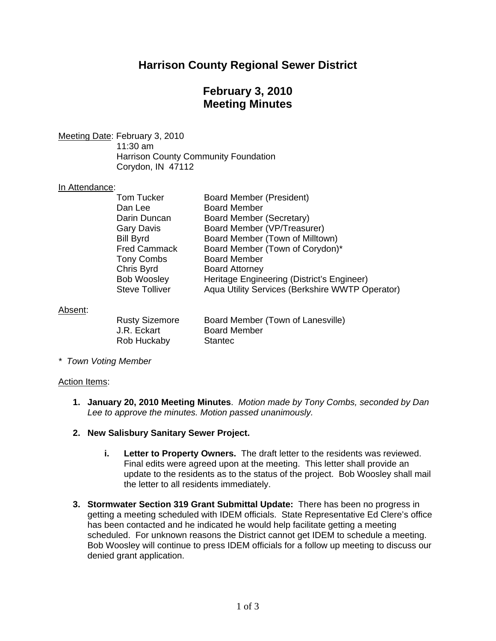# **Harrison County Regional Sewer District**

# **February 3, 2010 Meeting Minutes**

Meeting Date: February 3, 2010

 11:30 am Harrison County Community Foundation Corydon, IN 47112

### In Attendance:

| <b>Board Member</b><br>Dan Lee<br>Board Member (Secretary)<br>Darin Duncan |  |
|----------------------------------------------------------------------------|--|
|                                                                            |  |
|                                                                            |  |
| Board Member (VP/Treasurer)<br><b>Gary Davis</b>                           |  |
| Board Member (Town of Milltown)<br><b>Bill Byrd</b>                        |  |
| Board Member (Town of Corydon)*<br><b>Fred Cammack</b>                     |  |
| <b>Board Member</b><br><b>Tony Combs</b>                                   |  |
| Chris Byrd<br><b>Board Attorney</b>                                        |  |
| <b>Bob Woosley</b><br>Heritage Engineering (District's Engineer)           |  |
| Aqua Utility Services (Berkshire WWTP Operator)<br><b>Steve Tolliver</b>   |  |

### Absent:

| <b>Rusty Sizemore</b> | Board Member (Town of Lanesville) |
|-----------------------|-----------------------------------|
| J.R. Eckart           | <b>Board Member</b>               |
| Rob Huckaby           | Stantec                           |

*\* Town Voting Member* 

#### Action Items:

- **1. January 20, 2010 Meeting Minutes**. *Motion made by Tony Combs, seconded by Dan Lee to approve the minutes. Motion passed unanimously.*
- **2. New Salisbury Sanitary Sewer Project.** 
	- **i. Letter to Property Owners.** The draft letter to the residents was reviewed. Final edits were agreed upon at the meeting. This letter shall provide an update to the residents as to the status of the project. Bob Woosley shall mail the letter to all residents immediately.
- **3. Stormwater Section 319 Grant Submittal Update:** There has been no progress in getting a meeting scheduled with IDEM officials. State Representative Ed Clere's office has been contacted and he indicated he would help facilitate getting a meeting scheduled. For unknown reasons the District cannot get IDEM to schedule a meeting. Bob Woosley will continue to press IDEM officials for a follow up meeting to discuss our denied grant application.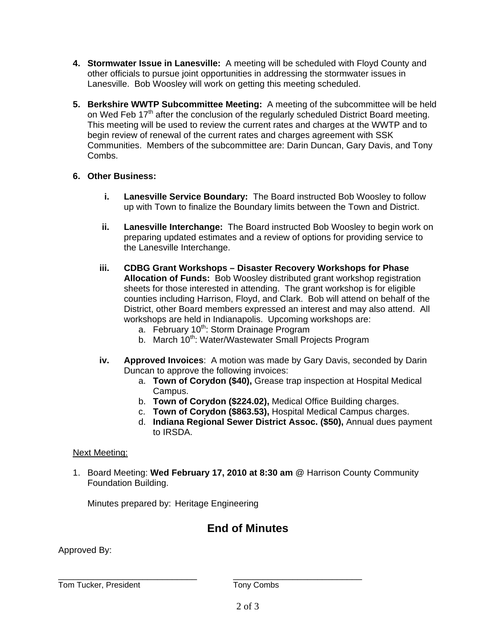- **4. Stormwater Issue in Lanesville:** A meeting will be scheduled with Floyd County and other officials to pursue joint opportunities in addressing the stormwater issues in Lanesville. Bob Woosley will work on getting this meeting scheduled.
- **5. Berkshire WWTP Subcommittee Meeting:** A meeting of the subcommittee will be held on Wed Feb 17<sup>th</sup> after the conclusion of the regularly scheduled District Board meeting. This meeting will be used to review the current rates and charges at the WWTP and to begin review of renewal of the current rates and charges agreement with SSK Communities. Members of the subcommittee are: Darin Duncan, Gary Davis, and Tony Combs.

## **6. Other Business:**

- **i. Lanesville Service Boundary:** The Board instructed Bob Woosley to follow up with Town to finalize the Boundary limits between the Town and District.
- **ii. Lanesville Interchange:** The Board instructed Bob Woosley to begin work on preparing updated estimates and a review of options for providing service to the Lanesville Interchange.
- **iii. CDBG Grant Workshops – Disaster Recovery Workshops for Phase Allocation of Funds:** Bob Woosley distributed grant workshop registration sheets for those interested in attending. The grant workshop is for eligible counties including Harrison, Floyd, and Clark. Bob will attend on behalf of the District, other Board members expressed an interest and may also attend. All workshops are held in Indianapolis. Upcoming workshops are:
	- a. February 10<sup>th</sup>: Storm Drainage Program
	- b. March 10<sup>th</sup>: Water/Wastewater Small Projects Program
- **iv. Approved Invoices**: A motion was made by Gary Davis, seconded by Darin Duncan to approve the following invoices:
	- a. **Town of Corydon (\$40),** Grease trap inspection at Hospital Medical Campus.
	- b. **Town of Corydon (\$224.02),** Medical Office Building charges.
	- c. **Town of Corydon (\$863.53),** Hospital Medical Campus charges.
	- d. **Indiana Regional Sewer District Assoc. (\$50),** Annual dues payment to IRSDA.

## Next Meeting:

1. Board Meeting: **Wed February 17, 2010 at 8:30 am** @ Harrison County Community Foundation Building.

Minutes prepared by: Heritage Engineering

## **End of Minutes**

Approved By:

Tom Tucker, President Tony Combs

\_\_\_\_\_\_\_\_\_\_\_\_\_\_\_\_\_\_\_\_\_\_\_\_\_\_\_\_ \_\_\_\_\_\_\_\_\_\_\_\_\_\_\_\_\_\_\_\_\_\_\_\_\_\_